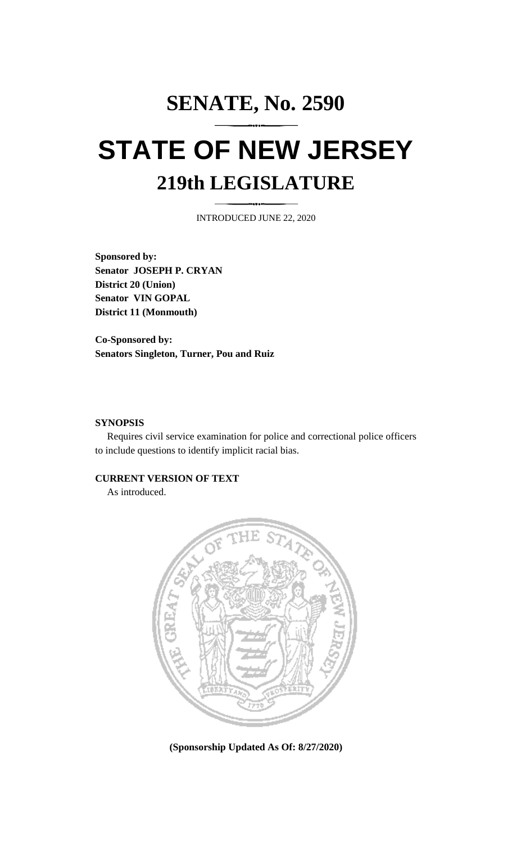# **SENATE, No. 2590 STATE OF NEW JERSEY 219th LEGISLATURE**

INTRODUCED JUNE 22, 2020

**Sponsored by: Senator JOSEPH P. CRYAN District 20 (Union) Senator VIN GOPAL District 11 (Monmouth)**

**Co-Sponsored by: Senators Singleton, Turner, Pou and Ruiz**

### **SYNOPSIS**

Requires civil service examination for police and correctional police officers to include questions to identify implicit racial bias.

#### **CURRENT VERSION OF TEXT**

As introduced.



**(Sponsorship Updated As Of: 8/27/2020)**